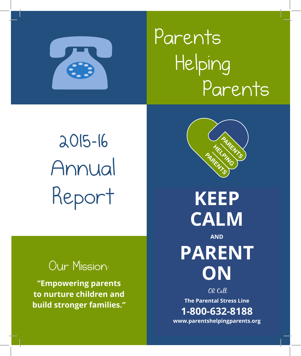

# Parents Helping Parents

# 2015-16 Annual Report

# Our Mission:

**"Empowering parents to nurture children and build stronger families."**



**KEEP CALM AND PARENT ON** OR Call

**The Parental Stress Line 1-800-632-8188 www.parentshelpingparents.org**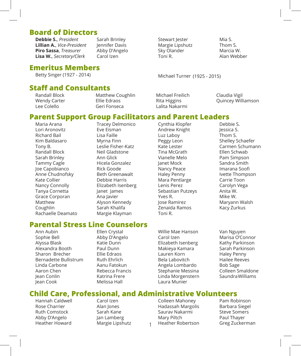#### **Board of Directors**

**Debbie S.**, *President*  **Lillian A.**, *Vice-President* **Piro Sassa**, *Treasurer*  **Lisa W.**, *Secretary/Clerk* 

Sarah Brinley Jennifer Davis Abby D'Angelo Carol Izen

#### **Emeritus Members**

Betty Singer (1927 - 2014)

Stewart Jester Margie Lipshutz Sky Olander Toni R.

Mia S. Thom S. Marcia W. Alan Webber

Michael Turner (1925 - 2015)

#### **Staff and Consultants**

Randall Block Wendy Carter Lee Colello

Matthew Coughlin Ellie Edraos Geri Fonseca

Michael Freilich Rita Higgins Lalita Nakarmi

Cynthia Klopfer

Claudia Vigil Quincey Williamson

#### **Parent Support Group Facilitators and Parent Leaders**

Maria Arana Lori Aronovitz Richard Bail Kim Baldasaro Tony B. Randall Block Sarah Brinley Tammy Cagle Joe Capobianco Anne Chudnofsky Kate Collier Nancy Connolly Tanya Cornetta Grace Corporan Matthew Coughlin Rachaelle Deamato Tracey Delmonico Eve Eisman Lisa Faille Myrna Finn Leslie Fisher-Katz Neil Gladstone Ann Glick Hicela Gonzalez Rick Goode Beth Greenawalt Debbie Harris Elizabeth Isenberg Janet James Ana Javier Alyson Kennedy Sarah Khalifa Margie Klayman

#### **Parental Stress Line Counselors**

Ann Aubin Sophie Bell Alyssa Blask Alexandra Booth Sharon Brecher Bernadette Bullistrum Linda Carbone Aaron Chen Jean Conlin Jean Cook

Ellen Crystal Abby D'Angelo Katie Dunn Paul Dunn Ellie Edraos Ruth Ehrlich Aanu Fatokun Rebecca Francis Katrina Frere Melissa Hall

Andrew Knight Luz Laboy Peggy Leon Kate Lester Tina McGrath Vianelle Melo Janet Mock Nancy Peace Haley Penny Mara Pentlarge Lenis Perez Sebastian Putzeys Yves R. Jose Ramirez Zenaida Ramos Toni R.

Willie Mae Hanson Carol Izen Elizabeth Isenberg Makieya Kamara Lauren Korn Bela Labovitch Angela Lombardo Stephanie Messina Linda Morgenstern Laura Munier

Debbie S. Jessica S. Thom S. Shelley Schaefer Carmen Schumann Ellen Schwab Pam Simpson Sandra Smith Imarana Soofi Ivette Thompson Carrie Toon Carolyn Vega Anita W. Mike W. Maryann Walsh Kacy Zurkus

Van Nguyen Marisa O'Connor Kathy Parkinson Sarah Parkinson Haley Penny Hailee Reeves Bob Sage Colleen Smaldone SaundraWilliams

#### **Child Care, Professional, and Administrative Volunteers**

1

Hannah Caldwell Rose Charrier Ruth Comstock Abby D'Angelo Heather Howard

Carol Izen Alan Jones Sarah Kane Jan Lamberg Margie Lipshutz Colleen Mahoney Hadassah Margolis Saurav Nakarmi Mary Piltch Heather Robertson

Pam Robinson Barbara Siegel Steve Somers Paul Thayer Greg Zuckerman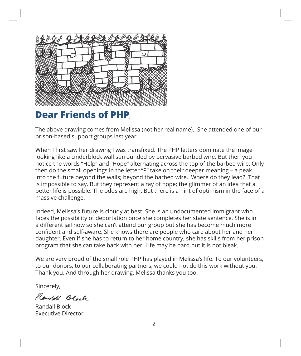

## **Dear Friends of PHP**,

The above drawing comes from Melissa (not her real name). She attended one of our prison-based support groups last year.

When I first saw her drawing I was transfixed. The PHP letters dominate the image looking like a cinderblock wall surrounded by pervasive barbed wire. But then you notice the words "Help" and "Hope" alternating across the top of the barbed wire. Only then do the small openings in the letter "P" take on their deeper meaning – a peak into the future beyond the walls; beyond the barbed wire. Where do they lead? That is impossible to say. But they represent a ray of hope; the glimmer of an idea that a better life is possible. The odds are high. But there is a hint of optimism in the face of a massive challenge.

Indeed, Melissa's future is cloudy at best. She is an undocumented immigrant who faces the possibility of deportation once she completes her state sentence. She is in a different jail now so she can't attend our group but she has become much more confident and self-aware. She knows there are people who care about her and her daughter. Even if she has to return to her home country, she has skills from her prison program that she can take back with her. Life may be hard but it is not bleak.

We are very proud of the small role PHP has played in Melissa's life. To our volunteers, to our donors, to our collaborating partners, we could not do this work without you. Thank you. And through her drawing, Melissa thanks you too.

Sincerely,

Rendell Block

Randall Block Executive Director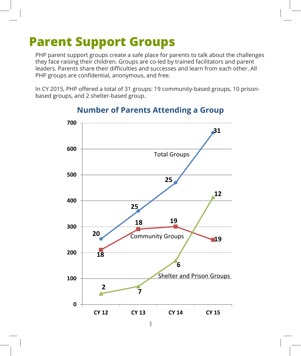# **Parent Support Groups**

PHP parent support groups create a safe place for parents to talk about the challenges they face raising their children. Groups are co-led by trained facilitators and parent leaders. Parents share their difficulties and successes and learn from each other. All PHP groups are confidential, anonymous, and free.

In CY 2015, PHP offered a total of 31 groups: 19 community-based groups, 10 prisonbased groups, and 2 shelter-based group.



#### **Number of Parents Attending a Group**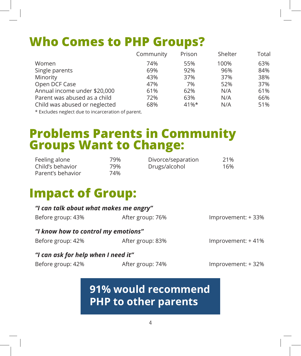# **Who Comes to PHP Groups?**

|                               | Community | Prison  | Shelter | Total |
|-------------------------------|-----------|---------|---------|-------|
| Women                         | 74%       | 55%     | 100%    | 63%   |
| Single parents                | 69%       | 92%     | 96%     | 84%   |
| Minority                      | 43%       | 37%     | 37%     | 38%   |
| Open DCF Case                 | 47%       | 7%      | 52%     | 37%   |
| Annual income under \$20,000  | 61%       | 62%     | N/A     | 61%   |
| Parent was abused as a child  | 72%       | 63%     | N/A     | 66%   |
| Child was abused or neglected | 68%       | $41\%*$ | N/A     | 51%   |

\* Excludes neglect due to incarceration of parent.

# **Problems Parents in Community Groups Want to Change:**

| Feeling alone     | 79% | Divorce/separation | 21% |
|-------------------|-----|--------------------|-----|
| Child's behavior  | 79% | Drugs/alcohol      | 16% |
| Parent's behavior | 74% |                    |     |

# **Impact of Group:**

| "I can talk about what makes me angry" |                  |                    |  |  |  |
|----------------------------------------|------------------|--------------------|--|--|--|
| Before group: 43%                      | After group: 76% | Improvement: +33%  |  |  |  |
| "I know how to control my emotions"    |                  |                    |  |  |  |
| Before group: 42%                      | After group: 83% | Improvement: +41%  |  |  |  |
| "I can ask for help when I need it"    |                  |                    |  |  |  |
| Before group: 42%                      | After group: 74% | Improvement: + 32% |  |  |  |

# **91% would recommend PHP to other parents**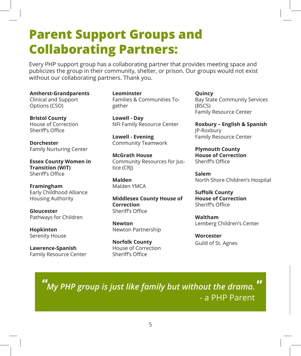# **Parent Support Groups and Collaborating Partners:**

Every PHP support group has a collaborating partner that provides meeting space and publicizes the group in their community, shelter, or prison. Our groups would not exist without our collaborating partners. Thank you.

#### **Amherst-Grandparents**

Clinical and Support Options (CSO)

**Bristol County**  House of Correction Sheriff's Office

**Dorchester** Family Nurturing Center

**Essex County Women in Transition (WIT)** Sheriff's Office

**Framingham** Early Childhood Alliance Housing Authority

**Gloucester** Pathways for Children

**Hopkinton** Serenity House

**Lawrence-Spanish** Family Resource Center **Leominster** Families & Communities Together

**Lowell - Day** NFI Family Resource Center

**Lowell - Evening** Community Teamwork

**McGrath House** Community Resources for Justice (CRJ)

**Malden** Malden YMCA

**Middlesex County House of Correction** Sheriff's Office

**Newton** Newton Partnership

**Norfolk County**  House of Correction Sheriff's Office

**Quincy** Bay State Community Services (BSCS) Family Resource Center

**Roxbury – English & Spanish** JP-Roxbury Family Resource Center

**Plymouth County House of Correction**  Sheriff's Office

**Salem** North Shore Children's Hospital

**Suffolk County House of Correction** Sheriff's Office

**Waltham** Lemberg Children's Center

**Worcester** Guild of St. Agnes

#### *My PHP group is just like family but without the drama.* **"** - a PHP Parent **"**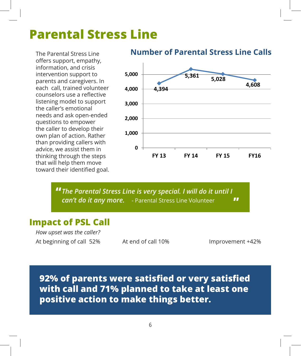# **Parental Stress Line**

The Parental Stress Line offers support, empathy, information, and crisis intervention support to parents and caregivers. In each call, trained volunteer counselors use a reflective listening model to support the caller's emotional needs and ask open-ended questions to empower the caller to develop their own plan of action. Rather than providing callers with advice, we assist them in thinking through the steps that will help them move toward their identified goal.

## **Number of Parental Stress Line Calls Number of Parental Stress Line calls**



 $T$  , the Parental Stress Line is very special. In will do it until do it until do it until do it until do it until  $\alpha$ 

**"** The Parental Stress Line is very special. I will do it until I *can't do it any more.* - Parental Stress Line Volunteer **"**

#### **Impact of PSL Call**

*How upset was the caller?* At beginning of call 52% At end of call 10%

Improvement +42%

**92% of parents were satisfied or very satisfied with call and 71% planned to take at least one positive action to make things better.**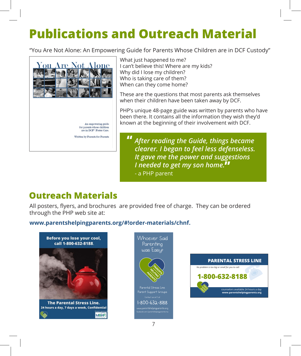# **Publications and Outreach Material**

"You Are Not Alone: An Empowering Guide for Parents Whose Children are in DCF Custody"



What just happened to me? I can't believe this! Where are my kids? ream coeneve and where are my<br>Why did I lose my children?<br>Who is taking care of them? Who is taking care of them? When can they come home?<br>These are the questions that

These are the questions that most parents ask themselves when their children have been taken away by DCF.

PHP's unique 48-page guide was written by parents who have been there. It contains all the information they wish they'd known at the beginning of their involvement with DCF.

*After reading the Guide, things became clearer. I began to feel less defenseless. It gave me the power and suggestions I needed to get my son home.*  **"** - a PHP parent **"**

## **Outreach Materials**

**Car Frach March 1915**<br>All posters, flyers, and brochures are provided free of charge. They can be ordered Air posters, rivers, and brochure<br>through the PHP web site at<mark>:</mark>

# **www.parentshelpingparents.org/#!order-materials/chnf. confidential** 1-800-632-8188





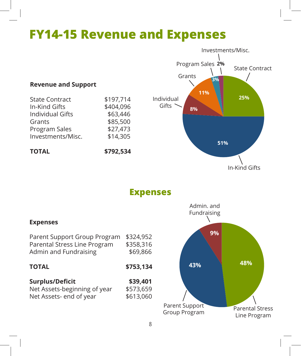# **FY14-15 Revenue and Expenses**



#### **TOTAL \$753,134**

#### **Surplus/Deficit \$39,401** Net Assets-beginning of year \$573,659

Net Assets- end of year \$613,060

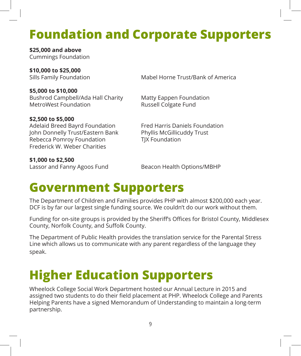# **Foundation and Corporate Supporters**

**\$25,000 and above** Cummings Foundation

**\$10,000 to \$25,000**

Sills Family Foundation Mabel Horne Trust/Bank of America

**\$5,000 to \$10,000** Bushrod Campbell/Ada Hall Charity Matty Eappen Foundation MetroWest Foundation **Russell Colgate Fund** 

**\$2,500 to \$5,000** Adelaid Breed Bayrd Foundation<br>John Donnelly Trust/Eastern Bank Phyllis McGillicuddy Trust John Donnelly Trust/Eastern Bank Rebecca Pomroy Foundation TJX Foundation Frederick W. Weber Charities

**\$1,000 to \$2,500**

Lassor and Fanny Agoos Fund Beacon Health Options/MBHP

# **Government Supporters**

The Department of Children and Families provides PHP with almost \$200,000 each year. DCF is by far our largest single funding source. We couldn't do our work without them.

Funding for on-site groups is provided by the Sheriff's Offices for Bristol County, Middlesex County, Norfolk County, and Suffolk County.

The Department of Public Health provides the translation service for the Parental Stress Line which allows us to communicate with any parent regardless of the language they speak.

# **Higher Education Supporters**

Wheelock College Social Work Department hosted our Annual Lecture in 2015 and assigned two students to do their field placement at PHP. Wheelock College and Parents Helping Parents have a signed Memorandum of Understanding to maintain a long-term partnership.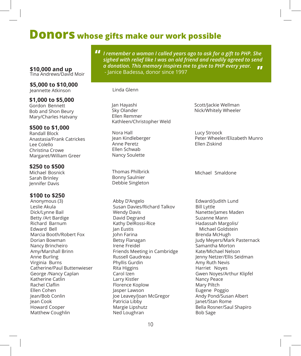### **Donors whose gifts make our work possible**

**\$10,000 and up** Tina Andrews/David Moir

#### **\$5,000 to \$10,000** Jeannette Atkinson Linda Glenn

**\$1,000 to \$5,000**

Gordon Bennett Bob and Shon Beury Mary/Charles Hatvany

#### **\$500 to \$1,000**

Randall Block Anastasia/Frank Catrickes Lee Colello Christina Crowe Margaret/William Greer

#### **\$250 to \$500**

Michael Bosnick Sarah Brinley Jennifer Davis

#### **\$100 to \$250**

Anonymous (3) Leslie Akula Dick/Lynne Bail Betty /Art Bardige Richard Barnum Edward Bell Marcia Booth/Robert Fox Dorian Bowman Nancy Brincheiro Amy/Marshall Brinn Anne Burling Virginia Burns Catherine/Paul Buttenwieser George /Nancy Caplan Katherine Catlin Rachel Claflin Ellen Cohen Jean/Bob Conlin Jean Cook Howard Cooper Matthew Coughlin

*I remember a woman I called years ago to ask for a gift to PHP. She*  **"** *sighed with relief like I was an old friend and readily agreed to send a donation. This memory inspires me to give to PHP every year.* **"**

- Janice Badessa, donor since 1997

Jan Hayashi Sky Olander Ellen Remmer Kathleen/Christopher Weld

Nora Hall Jean Kindleberger Anne Peretz Ellen Schwab Nancy Soulette

Thomas Philbrick Bonny Saulnier Debbie Singleton

Abby D'Angelo Susan Davies/Richard Talkov Wendy Davis David Degrand Kathy DelRossi-Rice Jan Eustis John Farina Betsy Flanagan Irene Freidel Friends Meeting in Cambridge Russell Gaudreau Phyllis Gurdin Rita Higgins Carol Izen Larry Kistler Florence Koplow Jasper Lawson Joe Leavey/Joan McGregor Patricia Libby Margie Lipshutz Ned Loughran

Scott/Jackie Wellman Nick/Whitely Wheeler

Lucy Stroock Peter Wheeler/Elizabeth Munro Ellen Ziskind

Michael Smaldone

Edward/Judith Lund Bill Lyttle Nanette/James Maden Suzanne Mann Hadassah Margolis/ Michael Goldstein Brenda McHugh Judy Meyers/Mark Pasternack Samantha Morton Kate/Michael Nelson Jenny Netzer/Ellis Seidman Amy Ruth Nevis Harriet Noyes Gwen Noyes/Arthur Klipfel Nancy Peace Mary Piltch Eugene Poggio Andy Pond/Susan Albert Janet/Stan Rome Bella Rosner/Saul Shapiro Bob Sage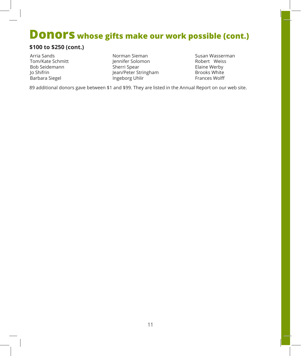# **Donors whose gifts make our work possible (cont.)**

#### **\$100 to \$250 (cont.)**

Arria Sands Tom/Kate Schmitt Bob Seidemann Jo Shifrin Barbara Siegel

- Norman Sieman Jennifer Solomon Sherri Spear Jean/Peter Stringham Ingeborg Uhlir
- Susan Wasserman Robert Weiss Elaine Werby Brooks White Frances Wolff

89 additional donors gave between \$1 and \$99. They are listed in the Annual Report on our web site.